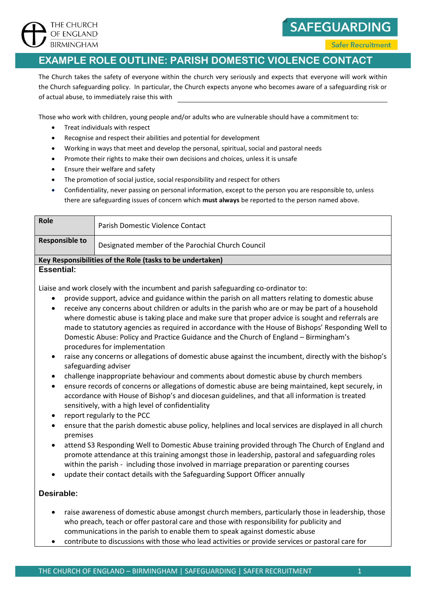

**SAFEGUARDING** 

**Safer Recruitment** 

## **EXAMPLE ROLE OUTLINE: PARISH DOMESTIC VIOLENCE CONTACT**

The Church takes the safety of everyone within the church very seriously and expects that everyone will work within the Church safeguarding policy. In particular, the Church expects anyone who becomes aware of a safeguarding risk or of actual abuse, to immediately raise this with

Those who work with children, young people and/or adults who are vulnerable should have a commitment to:

- Treat individuals with respect
- Recognise and respect their abilities and potential for development
- Working in ways that meet and develop the personal, spiritual, social and pastoral needs
- Promote their rights to make their own decisions and choices, unless it is unsafe
- Ensure their welfare and safety
- The promotion of social justice, social responsibility and respect for others
- Confidentiality, never passing on personal information, except to the person you are responsible to, unless there are safeguarding issues of concern which **must always** be reported to the person named above.

| Role                                                      | Parish Domestic Violence Contact                  |  |
|-----------------------------------------------------------|---------------------------------------------------|--|
| <b>Responsible to</b>                                     | Designated member of the Parochial Church Council |  |
| Key Responsibilities of the Role (tasks to be undertaken) |                                                   |  |
| Essential:                                                |                                                   |  |

Liaise and work closely with the incumbent and parish safeguarding co-ordinator to:

- provide support, advice and guidance within the parish on all matters relating to domestic abuse
- receive any concerns about children or adults in the parish who are or may be part of a household where domestic abuse is taking place and make sure that proper advice is sought and referrals are made to statutory agencies as required in accordance with the House of Bishops' Responding Well to Domestic Abuse: Policy and Practice Guidance and the Church of England – Birmingham's procedures for implementation
- raise any concerns or allegations of domestic abuse against the incumbent, directly with the bishop's safeguarding adviser
- challenge inappropriate behaviour and comments about domestic abuse by church members
- ensure records of concerns or allegations of domestic abuse are being maintained, kept securely, in accordance with House of Bishop's and diocesan guidelines, and that all information is treated sensitively, with a high level of confidentiality
- report regularly to the PCC
- ensure that the parish domestic abuse policy, helplines and local services are displayed in all church premises
- attend S3 Responding Well to Domestic Abuse training provided through The Church of England and promote attendance at this training amongst those in leadership, pastoral and safeguarding roles within the parish - including those involved in marriage preparation or parenting courses
- update their contact details with the Safeguarding Support Officer annually

## **Desirable:**

- raise awareness of domestic abuse amongst church members, particularly those in leadership, those who preach, teach or offer pastoral care and those with responsibility for publicity and communications in the parish to enable them to speak against domestic abuse
- contribute to discussions with those who lead activities or provide services or pastoral care for